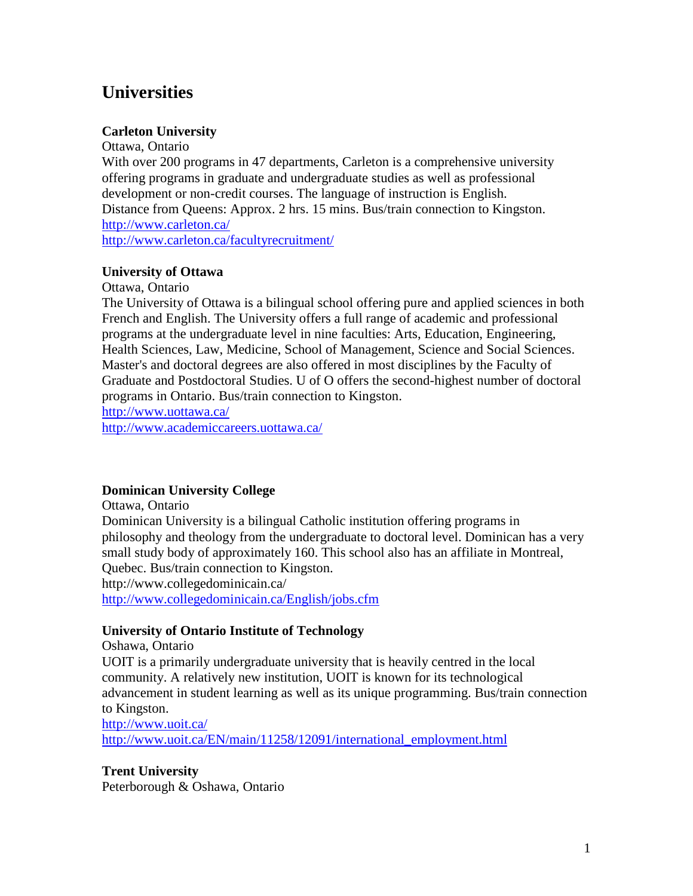# **Universities**

## **Carleton University**

Ottawa, Ontario With over 200 programs in 47 departments, Carleton is a comprehensive university offering programs in graduate and undergraduate studies as well as professional development or non-credit courses. The language of instruction is English. Distance from Queens: Approx. 2 hrs. 15 mins. Bus/train connection to Kingston. <http://www.carleton.ca/> <http://www.carleton.ca/facultyrecruitment/>

## **University of Ottawa**

#### Ottawa, Ontario

The University of Ottawa is a bilingual school offering pure and applied sciences in both French and English. The University offers a full range of academic and professional programs at the undergraduate level in nine faculties: Arts, Education, Engineering, Health Sciences, Law, Medicine, School of Management, Science and Social Sciences. Master's and doctoral degrees are also offered in most disciplines by the Faculty of Graduate and Postdoctoral Studies. U of O offers the second-highest number of doctoral programs in Ontario. Bus/train connection to Kingston.

<http://www.uottawa.ca/>

<http://www.academiccareers.uottawa.ca/>

## **Dominican University College**

Ottawa, Ontario Dominican University is a bilingual Catholic institution offering programs in philosophy and theology from the undergraduate to doctoral level. Dominican has a very small study body of approximately 160. This school also has an affiliate in Montreal, Quebec. Bus/train connection to Kingston. http://www.collegedominicain.ca/

<http://www.collegedominicain.ca/English/jobs.cfm>

## **University of Ontario Institute of Technology**

Oshawa, Ontario

UOIT is a primarily undergraduate university that is heavily centred in the local community. A relatively new institution, UOIT is known for its technological advancement in student learning as well as its unique programming. Bus/train connection to Kingston.

<http://www.uoit.ca/> [http://www.uoit.ca/EN/main/11258/12091/international\\_employment.html](http://www.uoit.ca/EN/main/11258/12091/international_employment.html)

## **Trent University**

Peterborough & Oshawa, Ontario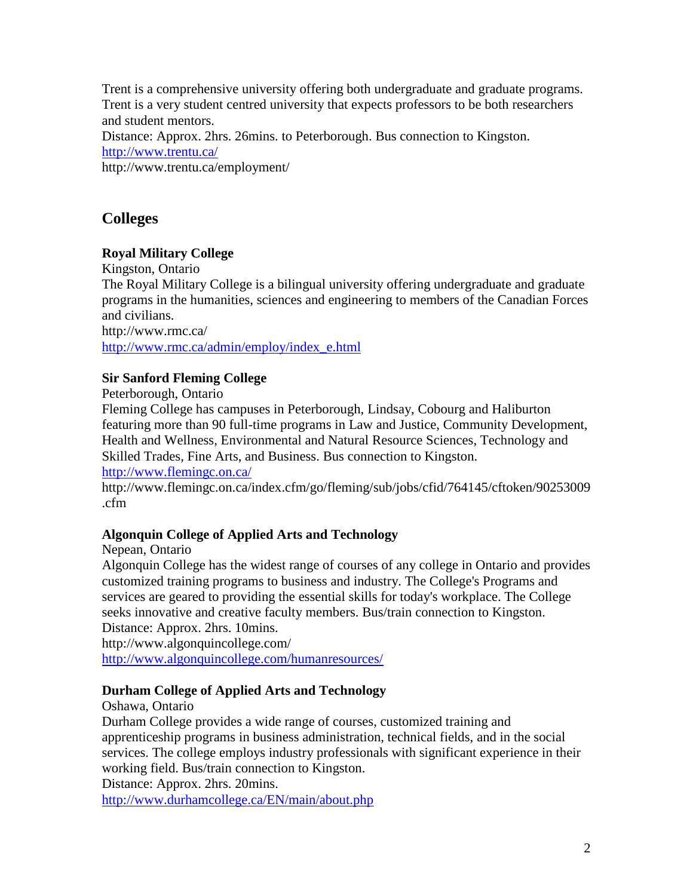Trent is a comprehensive university offering both undergraduate and graduate programs. Trent is a very student centred university that expects professors to be both researchers and student mentors.

Distance: Approx. 2hrs. 26mins. to Peterborough. Bus connection to Kingston. <http://www.trentu.ca/>

http://www.trentu.ca/employment/

## **Colleges**

## **Royal Military College**

Kingston, Ontario

The Royal Military College is a bilingual university offering undergraduate and graduate programs in the humanities, sciences and engineering to members of the Canadian Forces and civilians.

http://www.rmc.ca/ [http://www.rmc.ca/admin/employ/index\\_e.html](http://www.rmc.ca/admin/employ/index_e.html)

## **Sir Sanford Fleming College**

Peterborough, Ontario

Fleming College has campuses in Peterborough, Lindsay, Cobourg and Haliburton featuring more than 90 full-time programs in Law and Justice, Community Development, Health and Wellness, Environmental and Natural Resource Sciences, Technology and Skilled Trades, Fine Arts, and Business. Bus connection to Kingston.

<http://www.flemingc.on.ca/>

http://www.flemingc.on.ca/index.cfm/go/fleming/sub/jobs/cfid/764145/cftoken/90253009 .cfm

## **Algonquin College of Applied Arts and Technology**

Nepean, Ontario

Algonquin College has the widest range of courses of any college in Ontario and provides customized training programs to business and industry. The College's Programs and services are geared to providing the essential skills for today's workplace. The College seeks innovative and creative faculty members. Bus/train connection to Kingston. Distance: Approx. 2hrs. 10mins.

http://www.algonquincollege.com/ <http://www.algonquincollege.com/humanresources/>

## **Durham College of Applied Arts and Technology**

Oshawa, Ontario

Durham College provides a wide range of courses, customized training and apprenticeship programs in business administration, technical fields, and in the social services. The college employs industry professionals with significant experience in their working field. Bus/train connection to Kingston.

Distance: Approx. 2hrs. 20mins.

<http://www.durhamcollege.ca/EN/main/about.php>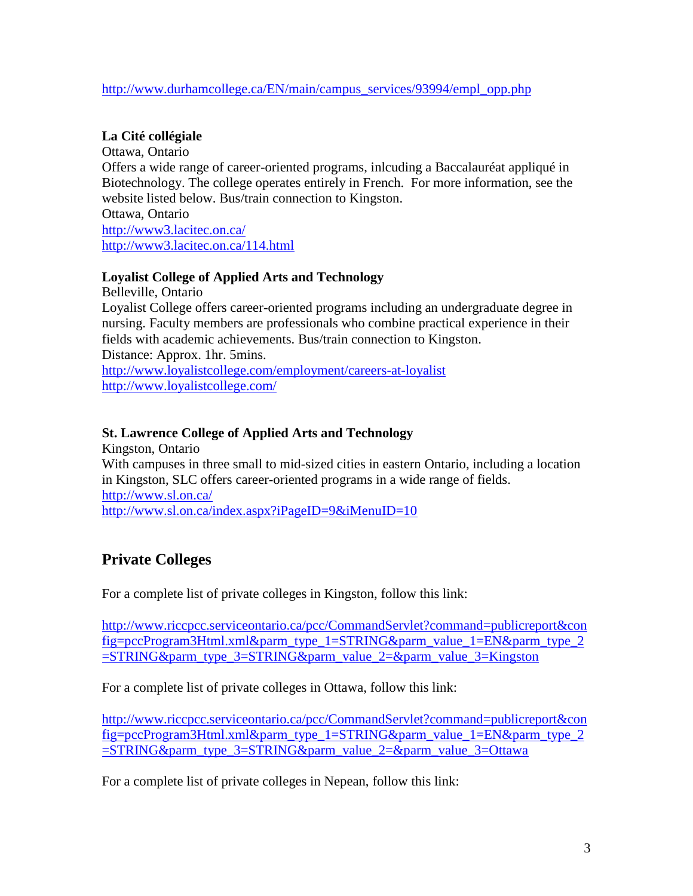#### [http://www.durhamcollege.ca/EN/main/campus\\_services/93994/empl\\_opp.php](http://www.durhamcollege.ca/EN/main/campus_services/93994/empl_opp.php)

## **La Cité collégiale**

Ottawa, Ontario Offers a wide range of career-oriented programs, inlcuding a Baccalauréat appliqué in Biotechnology. The college operates entirely in French. For more information, see the website listed below. Bus/train connection to Kingston. Ottawa, Ontario

<http://www3.lacitec.on.ca/> <http://www3.lacitec.on.ca/114.html>

## **Loyalist College of Applied Arts and Technology**

Belleville, Ontario

Loyalist College offers career-oriented programs including an undergraduate degree in nursing. Faculty members are professionals who combine practical experience in their fields with academic achievements. Bus/train connection to Kingston. Distance: Approx. 1hr. 5mins.

<http://www.loyalistcollege.com/employment/careers-at-loyalist> <http://www.loyalistcollege.com/>

## **St. Lawrence College of Applied Arts and Technology**

Kingston, Ontario With campuses in three small to mid-sized cities in eastern Ontario, including a location in Kingston, SLC offers career-oriented programs in a wide range of fields. <http://www.sl.on.ca/> <http://www.sl.on.ca/index.aspx?iPageID=9&iMenuID=10>

# **Private Colleges**

For a complete list of private colleges in Kingston, follow this link:

[http://www.riccpcc.serviceontario.ca/pcc/CommandServlet?command=publicreport&con](http://www.riccpcc.serviceontario.ca/pcc/CommandServlet?command=publicreport&config=pccProgram3Html.xml&parm_type_1=STRING&parm_value_1=EN&parm_type_2=STRING&parm_type_3=STRING&parm_value_2=&parm_value_3=Kingston) [fig=pccProgram3Html.xml&parm\\_type\\_1=STRING&parm\\_value\\_1=EN&parm\\_type\\_2](http://www.riccpcc.serviceontario.ca/pcc/CommandServlet?command=publicreport&config=pccProgram3Html.xml&parm_type_1=STRING&parm_value_1=EN&parm_type_2=STRING&parm_type_3=STRING&parm_value_2=&parm_value_3=Kingston) [=STRING&parm\\_type\\_3=STRING&parm\\_value\\_2=&parm\\_value\\_3=Kingston](http://www.riccpcc.serviceontario.ca/pcc/CommandServlet?command=publicreport&config=pccProgram3Html.xml&parm_type_1=STRING&parm_value_1=EN&parm_type_2=STRING&parm_type_3=STRING&parm_value_2=&parm_value_3=Kingston)

For a complete list of private colleges in Ottawa, follow this link:

[http://www.riccpcc.serviceontario.ca/pcc/CommandServlet?command=publicreport&con](http://www.riccpcc.serviceontario.ca/pcc/CommandServlet?command=publicreport&config=pccProgram3Html.xml&parm_type_1=STRING&parm_value_1=EN&parm_type_2=STRING&parm_type_3=STRING&parm_value_2=&parm_value_3=Ottawa) [fig=pccProgram3Html.xml&parm\\_type\\_1=STRING&parm\\_value\\_1=EN&parm\\_type\\_2](http://www.riccpcc.serviceontario.ca/pcc/CommandServlet?command=publicreport&config=pccProgram3Html.xml&parm_type_1=STRING&parm_value_1=EN&parm_type_2=STRING&parm_type_3=STRING&parm_value_2=&parm_value_3=Ottawa) [=STRING&parm\\_type\\_3=STRING&parm\\_value\\_2=&parm\\_value\\_3=Ottawa](http://www.riccpcc.serviceontario.ca/pcc/CommandServlet?command=publicreport&config=pccProgram3Html.xml&parm_type_1=STRING&parm_value_1=EN&parm_type_2=STRING&parm_type_3=STRING&parm_value_2=&parm_value_3=Ottawa)

For a complete list of private colleges in Nepean, follow this link: